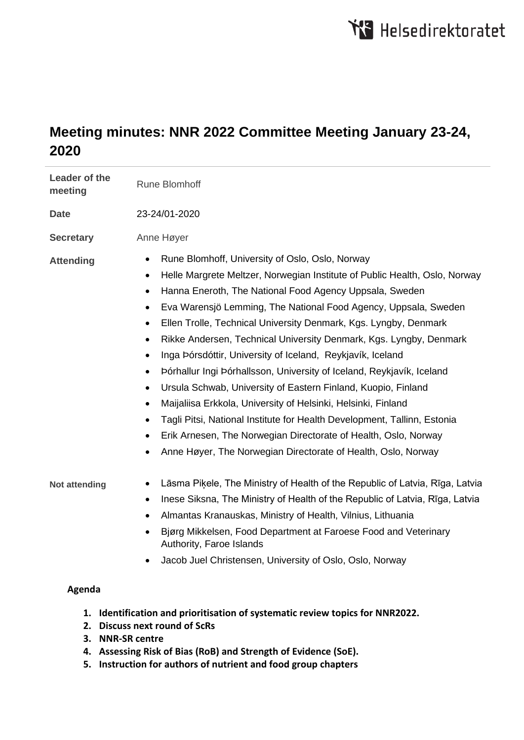# **Meeting minutes: NNR 2022 Committee Meeting January 23-24, 2020**

| Leader of the<br>meeting | <b>Rune Blomhoff</b>                                                                                                                                                                                                                                                                                                                                                                                                                                                                                                                                                                                                                                                                                                                                                                                                                                                                                                                                                                                                                                       |
|--------------------------|------------------------------------------------------------------------------------------------------------------------------------------------------------------------------------------------------------------------------------------------------------------------------------------------------------------------------------------------------------------------------------------------------------------------------------------------------------------------------------------------------------------------------------------------------------------------------------------------------------------------------------------------------------------------------------------------------------------------------------------------------------------------------------------------------------------------------------------------------------------------------------------------------------------------------------------------------------------------------------------------------------------------------------------------------------|
| <b>Date</b>              | 23-24/01-2020                                                                                                                                                                                                                                                                                                                                                                                                                                                                                                                                                                                                                                                                                                                                                                                                                                                                                                                                                                                                                                              |
| <b>Secretary</b>         | Anne Høyer                                                                                                                                                                                                                                                                                                                                                                                                                                                                                                                                                                                                                                                                                                                                                                                                                                                                                                                                                                                                                                                 |
| <b>Attending</b>         | Rune Blomhoff, University of Oslo, Oslo, Norway<br>$\bullet$<br>Helle Margrete Meltzer, Norwegian Institute of Public Health, Oslo, Norway<br>$\bullet$<br>Hanna Eneroth, The National Food Agency Uppsala, Sweden<br>$\bullet$<br>Eva Warensjö Lemming, The National Food Agency, Uppsala, Sweden<br>$\bullet$<br>Ellen Trolle, Technical University Denmark, Kgs. Lyngby, Denmark<br>$\bullet$<br>Rikke Andersen, Technical University Denmark, Kgs. Lyngby, Denmark<br>$\bullet$<br>Inga Þórsdóttir, University of Iceland, Reykjavík, Iceland<br>$\bullet$<br>Þórhallur Ingi Þórhallsson, University of Iceland, Reykjavík, Iceland<br>$\bullet$<br>Ursula Schwab, University of Eastern Finland, Kuopio, Finland<br>$\bullet$<br>Maijaliisa Erkkola, University of Helsinki, Helsinki, Finland<br>$\bullet$<br>Tagli Pitsi, National Institute for Health Development, Tallinn, Estonia<br>$\bullet$<br>Erik Arnesen, The Norwegian Directorate of Health, Oslo, Norway<br>$\bullet$<br>Anne Høyer, The Norwegian Directorate of Health, Oslo, Norway |
| Not attending            | Lāsma Piķele, The Ministry of Health of the Republic of Latvia, Rīga, Latvia<br>Inese Siksna, The Ministry of Health of the Republic of Latvia, Rīga, Latvia<br>$\bullet$<br>Almantas Kranauskas, Ministry of Health, Vilnius, Lithuania<br>Bjørg Mikkelsen, Food Department at Faroese Food and Veterinary<br>Authority, Faroe Islands<br>Jacob Juel Christensen, University of Oslo, Oslo, Norway                                                                                                                                                                                                                                                                                                                                                                                                                                                                                                                                                                                                                                                        |
| Agenda                   |                                                                                                                                                                                                                                                                                                                                                                                                                                                                                                                                                                                                                                                                                                                                                                                                                                                                                                                                                                                                                                                            |

- **1. Identification and prioritisation of systematic review topics for NNR2022.**
- **2. Discuss next round of ScRs**
- **3. NNR-SR centre**
- **4. Assessing Risk of Bias (RoB) and Strength of Evidence (SoE).**
- **5. Instruction for authors of nutrient and food group chapters**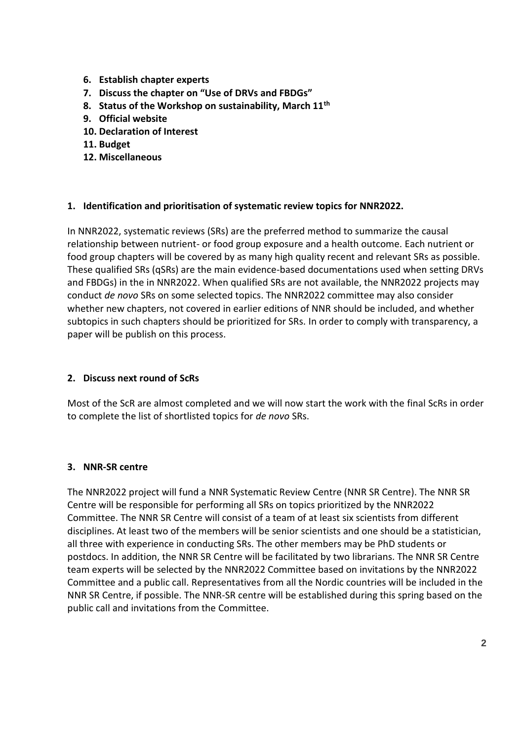- **6. Establish chapter experts**
- **7. Discuss the chapter on "Use of DRVs and FBDGs"**
- **8. Status of the Workshop on sustainability, March 11th**
- **9. Official website**
- **10. Declaration of Interest**
- **11. Budget**
- **12. Miscellaneous**

#### **1. Identification and prioritisation of systematic review topics for NNR2022.**

In NNR2022, systematic reviews (SRs) are the preferred method to summarize the causal relationship between nutrient- or food group exposure and a health outcome. Each nutrient or food group chapters will be covered by as many high quality recent and relevant SRs as possible. These qualified SRs (qSRs) are the main evidence-based documentations used when setting DRVs and FBDGs) in the in NNR2022. When qualified SRs are not available, the NNR2022 projects may conduct *de novo* SRs on some selected topics. The NNR2022 committee may also consider whether new chapters, not covered in earlier editions of NNR should be included, and whether subtopics in such chapters should be prioritized for SRs. In order to comply with transparency, a paper will be publish on this process.

#### **2. Discuss next round of ScRs**

Most of the ScR are almost completed and we will now start the work with the final ScRs in order to complete the list of shortlisted topics for *de novo* SRs.

#### **3. NNR-SR centre**

The NNR2022 project will fund a NNR Systematic Review Centre (NNR SR Centre). The NNR SR Centre will be responsible for performing all SRs on topics prioritized by the NNR2022 Committee. The NNR SR Centre will consist of a team of at least six scientists from different disciplines. At least two of the members will be senior scientists and one should be a statistician, all three with experience in conducting SRs. The other members may be PhD students or postdocs. In addition, the NNR SR Centre will be facilitated by two librarians. The NNR SR Centre team experts will be selected by the NNR2022 Committee based on invitations by the NNR2022 Committee and a public call. Representatives from all the Nordic countries will be included in the NNR SR Centre, if possible. The NNR-SR centre will be established during this spring based on the public call and invitations from the Committee.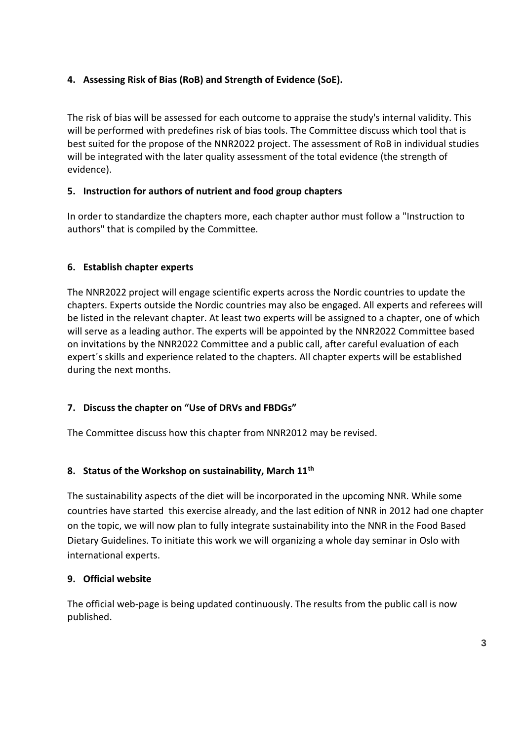# **4. Assessing Risk of Bias (RoB) and Strength of Evidence (SoE).**

The risk of bias will be assessed for each outcome to appraise the study's internal validity. This will be performed with predefines risk of bias tools. The Committee discuss which tool that is best suited for the propose of the NNR2022 project. The assessment of RoB in individual studies will be integrated with the later quality assessment of the total evidence (the strength of evidence).

# **5. Instruction for authors of nutrient and food group chapters**

In order to standardize the chapters more, each chapter author must follow a "Instruction to authors" that is compiled by the Committee.

# **6. Establish chapter experts**

The NNR2022 project will engage scientific experts across the Nordic countries to update the chapters. Experts outside the Nordic countries may also be engaged. All experts and referees will be listed in the relevant chapter. At least two experts will be assigned to a chapter, one of which will serve as a leading author. The experts will be appointed by the NNR2022 Committee based on invitations by the NNR2022 Committee and a public call, after careful evaluation of each expert´s skills and experience related to the chapters. All chapter experts will be established during the next months.

# **7. Discuss the chapter on "Use of DRVs and FBDGs"**

The Committee discuss how this chapter from NNR2012 may be revised.

## **8. Status of the Workshop on sustainability, March 11th**

The sustainability aspects of the diet will be incorporated in the upcoming NNR. While some countries have started this exercise already, and the last edition of NNR in 2012 had one chapter on the topic, we will now plan to fully integrate sustainability into the NNR in the Food Based Dietary Guidelines. To initiate this work we will organizing a whole day seminar in Oslo with international experts.

## **9. Official website**

The official web-page is being updated continuously. The results from the public call is now published.